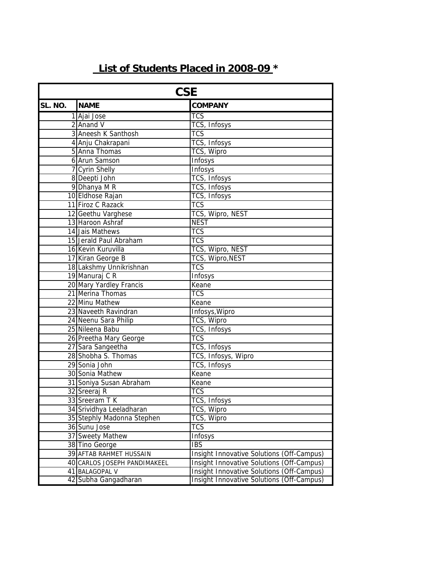## **List of Students Placed in 2008-09 \***

| <b>CSE</b> |                              |                                           |
|------------|------------------------------|-------------------------------------------|
| SL. NO.    | <b>NAME</b>                  | <b>COMPANY</b>                            |
|            | 1 Ajai Jose                  | $\overline{\text{TCS}}$                   |
|            | $2$ Anand V                  | TCS, Infosys                              |
|            | 3 Aneesh K Santhosh          | <b>TCS</b>                                |
|            | 4 Anju Chakrapani            | TCS, Infosys                              |
|            | 5 Anna Thomas                | TCS, Wipro                                |
|            | 6 Arun Samson                | Infosys                                   |
|            | 7 Cyrin Shelly               | Infosys                                   |
|            | 8 Deepti John                | TCS, Infosys                              |
|            | 9 Dhanya M R                 | TCS, Infosys                              |
|            | 10 Eldhose Rajan             | TCS, Infosys                              |
|            | 11 Firoz C Razack            | $\overline{\text{TCS}}$                   |
|            | 12 Geethu Varghese           | TCS, Wipro, NEST                          |
|            | 13 Haroon Ashraf             | <b>NEST</b>                               |
|            | 14 Jais Mathews              | $\overline{\text{TCS}}$                   |
|            | 15 Jerald Paul Abraham       | $\overline{\text{TCS}}$                   |
|            | 16 Kevin Kuruvilla           | TCS, Wipro, NEST                          |
|            | 17 Kiran George B            | <b>TCS, Wipro, NEST</b>                   |
|            | 18 Lakshmy Unnikrishnan      | <b>TCS</b>                                |
|            | 19 Manuraj C R               | Infosys                                   |
|            | 20 Mary Yardley Francis      | Keane                                     |
|            | 21 Merina Thomas             | <b>TCS</b>                                |
|            | 22 Minu Mathew               | Keane                                     |
|            | 23 Naveeth Ravindran         | Infosys, Wipro                            |
|            | 24 Neenu Sara Philip         | TCS, Wipro                                |
|            | 25 Nileena Babu              | TCS, Infosys                              |
|            | 26 Preetha Mary George       | $\overline{\text{TCS}}$                   |
|            | 27 Sara Sangeetha            | TCS, Infosys                              |
|            | 28 Shobha S. Thomas          | TCS, Infosys, Wipro                       |
|            | 29 Sonia John                | TCS, Infosys                              |
|            | 30 Sonia Mathew              | Keane                                     |
|            | 31 Soniya Susan Abraham      | Keane                                     |
|            | 32 Sreeraj R                 | TCS                                       |
|            | 33 Sreeram T K               | TCS, Infosys                              |
|            | 34 Srividhya Leeladharan     | TCS, Wipro                                |
|            | 35 Stephly Madonna Stephen   | TCS, Wipro                                |
|            | 36 Sunu Jose                 | TCS                                       |
|            | 37 Sweety Mathew             | Infosys                                   |
|            | 38 Tino George               | <b>IBS</b>                                |
|            | 39 AFTAB RAHMET HUSSAIN      | Insight Innovative Solutions (Off-Campus) |
|            | 40 CARLOS JOSEPH PANDIMAKEEL | Insight Innovative Solutions (Off-Campus) |
|            | 41 BALAGOPAL V               | Insight Innovative Solutions (Off-Campus) |
|            | 42 Subha Gangadharan         | Insight Innovative Solutions (Off-Campus) |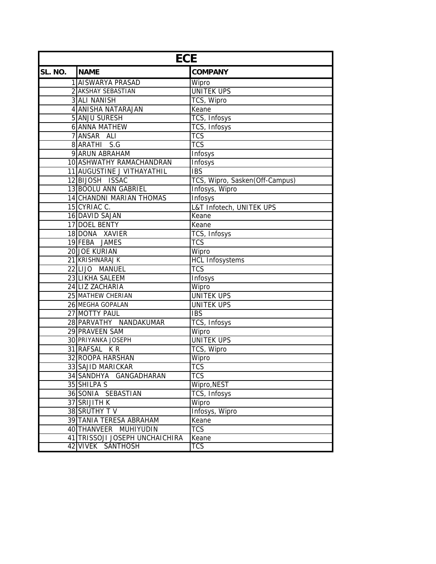| <b>ECE</b> |                                 |                                |  |
|------------|---------------------------------|--------------------------------|--|
| SL. NO.    | <b>NAME</b>                     | <b>COMPANY</b>                 |  |
|            | 1 AISWARYA PRASAD               | Wipro                          |  |
|            | 2 AKSHAY SEBASTIAN              | <b>UNITEK UPS</b>              |  |
|            | <b>3 ALI NANISH</b>             | TCS, Wipro                     |  |
|            | <b>4 ANISHA NATARAJAN</b>       | Keane                          |  |
|            | 5 ANJU SURESH                   | TCS, Infosys                   |  |
|            | <b>6 ANNA MATHEW</b>            | TCS, Infosys                   |  |
|            | 7 ANSAR ALI                     | <b>TCS</b>                     |  |
|            | 8 ARATHI S.G                    | <b>TCS</b>                     |  |
|            | 9 ARUN ABRAHAM                  | Infosys                        |  |
|            | 10 ASHWATHY RAMACHANDRAN        | Infosys                        |  |
|            | 11 AUGUSTINE J VITHAYATHIL      | <b>IBS</b>                     |  |
|            | 12 BIJOSH ISSAC                 | TCS, Wipro, Sasken(Off-Campus) |  |
|            | 13 BOOLU ANN GABRIEL            | Infosys, Wipro                 |  |
|            | <b>14 CHANDNI MARIAN THOMAS</b> | Infosys                        |  |
|            | 15 CYRIAC C.                    | L&T Infotech, UNITEK UPS       |  |
|            | 16 DAVID SAJAN                  | Keane                          |  |
|            | 17 DOEL BENTY                   | Keane                          |  |
|            | 18 DONA XAVIER                  | TCS, Infosys                   |  |
|            | 19 FEBA JAMES                   | <b>TCS</b>                     |  |
|            | 20 JOE KURIAN                   | Wipro                          |  |
|            | 21 KRISHNARAJ K                 | <b>HCL Infosystems</b>         |  |
|            | 22 LIJO MANUEL                  | $\overline{\text{TCS}}$        |  |
|            | 23 LIKHA SALEEM                 | Infosys                        |  |
|            | 24 LIZ ZACHARIA                 | Wipro                          |  |
|            | 25 MATHEW CHERIAN               | <b>UNITEK UPS</b>              |  |
|            | 26 MEGHA GOPALAN                | <b>UNITEK UPS</b>              |  |
|            | 27 MOTTY PAUL                   | <b>IBS</b>                     |  |
|            | 28 PARVATHY NANDAKUMAR          | TCS, Infosys                   |  |
|            | 29 PRAVEEN SAM                  | Wipro                          |  |
|            | <b>30 PRIYANKA JOSEPH</b>       | <b>UNITEK UPS</b>              |  |
|            | 31 RAFSAL KR                    | TCS, Wipro                     |  |
|            | 32 ROOPA HARSHAN                | Wipro                          |  |
|            | 33 SAJID MARICKAR               | <b>TCS</b>                     |  |
|            | 34 SANDHYA GANGADHARAN          | <b>TCS</b>                     |  |
|            | 35 SHILPA S                     | Wipro, NEST                    |  |
|            | 36 SONIA SEBASTIAN              | TCS, Infosys                   |  |
|            | 37 SRIJITH K                    | Wipro                          |  |
|            | 38 SRUTHY TV                    | Infosys, Wipro                 |  |
|            | 39 TANIA TERESA ABRAHAM         | Keane                          |  |
|            | 40 THANVEER MUHIYUDIN           | <b>TCS</b>                     |  |
|            | 41 TRISSOJI JOSEPH UNCHAICHIRA  | Keane                          |  |
| 42         | <b>VIVEK SANTHOSH</b>           | TCS                            |  |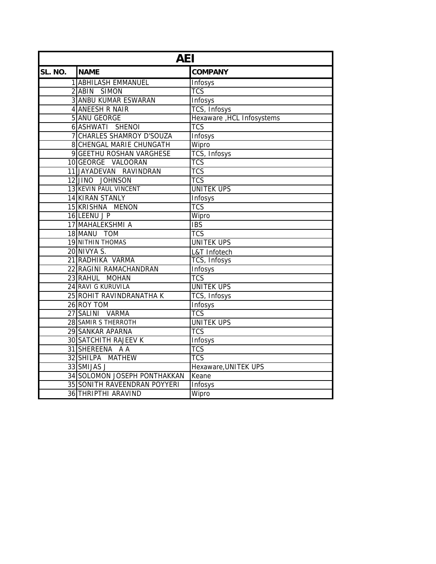| <b>AEI</b> |                              |                            |  |
|------------|------------------------------|----------------------------|--|
| SL. NO.    | <b>NAME</b>                  | <b>COMPANY</b>             |  |
|            | <b>1 ABHILASH EMMANUEL</b>   | <b>Infosys</b>             |  |
|            | 2 ABIN SIMON                 | $\overline{\text{TCS}}$    |  |
|            | <b>3 ANBU KUMAR ESWARAN</b>  | Infosys                    |  |
|            | 4 ANEESH R NAIR              | TCS, Infosys               |  |
|            | 5 ANU GEORGE                 | Hexaware , HCL Infosystems |  |
|            | 6 ASHWATI SHENOI             | <b>TCS</b>                 |  |
|            | 7 CHARLES SHAMROY D'SOUZA    | <b>Infosys</b>             |  |
|            | 8 CHENGAL MARIE CHUNGATH     | Wipro                      |  |
|            | 9 GEETHU ROSHAN VARGHESE     | TCS, Infosys               |  |
|            | 10 GEORGE VALOORAN           | <b>TCS</b>                 |  |
|            | 11 JAYADEVAN RAVINDRAN       | $\overline{\text{TCS}}$    |  |
|            | 12 JINO JOHNSON              | $\overline{\text{TCS}}$    |  |
|            | 13 KEVIN PAUL VINCENT        | <b>UNITEK UPS</b>          |  |
|            | 14 KIRAN STANLY              | Infosys                    |  |
|            | 15 KRISHNA MENON             | $\overline{\text{TCS}}$    |  |
|            | 16 LEENU J P                 | Wipro                      |  |
|            | 17 MAHALEKSHMI A             | <b>IBS</b>                 |  |
|            | 18 MANU TOM                  | <b>TCS</b>                 |  |
|            | <b>19 NITHIN THOMAS</b>      | <b>UNITEK UPS</b>          |  |
|            | 20 NIVYA S.                  | L&T Infotech               |  |
|            | 21 RADHIKA VARMA             | TCS, Infosys               |  |
|            | 22 RAGINI RAMACHANDRAN       | Infosys                    |  |
|            | 23 RAHUL MOHAN               | $\overline{\text{TCS}}$    |  |
|            | 24 RAVI G KURUVILA           | <b>UNITEK UPS</b>          |  |
|            | 25 ROHIT RAVINDRANATHA K     | TCS, Infosys               |  |
|            | 26 ROY TOM                   | Infosys                    |  |
|            | 27 SALINI VARMA              | $\overline{\text{TCS}}$    |  |
|            | 28 SAMIR S THERROTH          | <b>UNITEK UPS</b>          |  |
|            | <b>29 SANKAR APARNA</b>      | <b>TCS</b>                 |  |
|            | <b>30 SATCHITH RAJEEV K</b>  | Infosys                    |  |
|            | 31 SHEREENA A A              | <b>TCS</b>                 |  |
|            | 32 SHILPA MATHEW             | $\overline{\text{TCS}}$    |  |
|            | 33 SMIJAS J                  | Hexaware, UNITEK UPS       |  |
|            | 34 SOLOMON JOSEPH PONTHAKKAN | Keane                      |  |
|            | 35 SONITH RAVEENDRAN POYYERI | Infosys                    |  |
|            | <b>36 THRIPTHI ARAVIND</b>   | Wipro                      |  |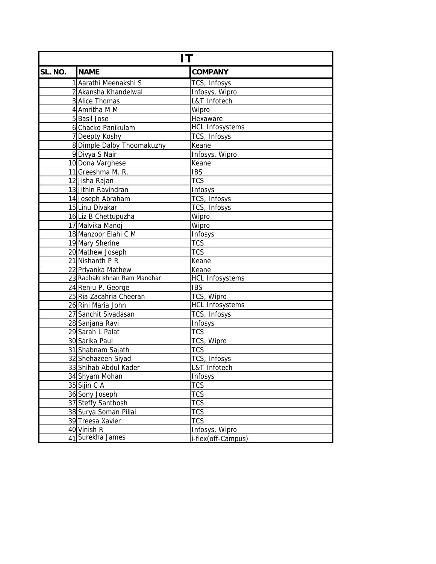| IT      |                              |                        |  |
|---------|------------------------------|------------------------|--|
| SL. NO. | <b>NAME</b>                  | <b>COMPANY</b>         |  |
|         | 1 Aarathi Meenakshi S        | TCS, Infosys           |  |
|         | 2 Akansha Khandelwal         | Infosys, Wipro         |  |
|         | 3 Alice Thomas               | L&T Infotech           |  |
|         | 4 Amritha M M                | Wipro                  |  |
|         | 5 Basil Jose                 | Hexaware               |  |
|         | 6 Chacko Panikulam           | <b>HCL Infosystems</b> |  |
|         | 7 Deepty Koshy               | TCS, Infosys           |  |
|         | 8 Dimple Dalby Thoomakuzhy   | Keane                  |  |
|         | 9 Divya S Nair               | Infosys, Wipro         |  |
|         | 10 Dona Varghese             | Keane                  |  |
|         | 11 Greeshma M. R.            | <b>IBS</b>             |  |
|         | 12 Jisha Rajan               | <b>TCS</b>             |  |
|         | 13 Jithin Ravindran          | Infosys                |  |
|         | 14 Joseph Abraham            | TCS, Infosys           |  |
|         | 15 Linu Divakar              | TCS, Infosys           |  |
|         | 16 Liz B Chettupuzha         | Wipro                  |  |
|         | 17 Malvika Manoj             | Wipro                  |  |
|         | 18 Manzoor Elahi C M         | Infosys                |  |
|         | 19 Mary Sherine              | <b>TCS</b>             |  |
|         | 20 Mathew Joseph             | <b>TCS</b>             |  |
|         | 21 Nishanth P R              | Keane                  |  |
|         | 22 Priyanka Mathew           | Keane                  |  |
|         | 23 Radhakrishnan Ram Manohar | <b>HCL Infosystems</b> |  |
|         | 24 Renju P. George           | <b>IBS</b>             |  |
|         | 25 Ria Zacahria Cheeran      | TCS, Wipro             |  |
|         | 26 Rini Maria John           | <b>HCL Infosystems</b> |  |
|         | 27 Sanchit Sivadasan         | TCS, Infosys           |  |
|         | 28 Sanjana Ravi              | Infosys                |  |
|         | 29 Sarah L Palat             | <b>TCS</b>             |  |
|         | 30 Sarika Paul               | TCS, Wipro             |  |
|         | 31 Shabnam Sajath            | <b>TCS</b>             |  |
|         | 32 Shehazeen Siyad           | TCS, Infosys           |  |
|         | 33 Shihab Abdul Kader        | L&T Infotech           |  |
|         | 34 Shyam Mohan               | Infosys                |  |
|         | 35 Sijin C A                 | <b>TCS</b>             |  |
|         | 36 Sony Joseph               | <b>TCS</b>             |  |
|         | 37 Steffy Santhosh           | <b>TCS</b>             |  |
|         | 38 Surya Soman Pillai        | <b>TCS</b>             |  |
|         | 39 Treesa Xavier             | <b>TCS</b>             |  |
|         | 40 Vinish R                  | Infosys, Wipro         |  |
|         | 41 Surekha James             | i-flex(off-Campus)     |  |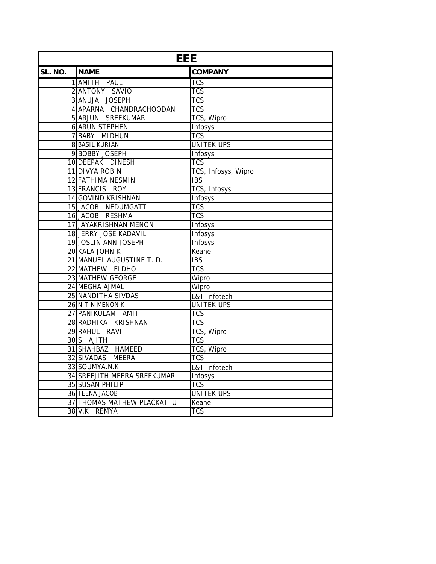| <b>EEE</b> |                                    |                         |  |
|------------|------------------------------------|-------------------------|--|
| SL. NO.    | <b>NAME</b>                        | <b>COMPANY</b>          |  |
|            | 1 AMITH PAUL                       | <b>TCS</b>              |  |
|            | 2 ANTONY SAVIO                     | <b>TCS</b>              |  |
|            | 3 ANUJA JOSEPH                     | $\overline{\text{TCS}}$ |  |
|            | 4 APARNA CHANDRACHOODAN            | <b>TCS</b>              |  |
|            | 5 ARJUN SREEKUMAR                  | TCS, Wipro              |  |
|            | <b>6 ARUN STEPHEN</b>              | Infosys                 |  |
|            | 7 BABY MIDHUN                      | <b>TCS</b>              |  |
|            | <b>8 BASIL KURIAN</b>              | <b>UNITEK UPS</b>       |  |
|            | 9 BOBBY JOSEPH                     | Infosys                 |  |
|            | 10 DEEPAK DINESH                   | $\overline{\text{TCS}}$ |  |
|            | 11 DIVYA ROBIN                     | TCS, Infosys, Wipro     |  |
|            | <b>12 FATHIMA NESMIN</b>           | $\overline{IBS}$        |  |
|            | 13 FRANCIS ROY                     | TCS, Infosys            |  |
|            | <b>14 GOVIND KRISHNAN</b>          | Infosys                 |  |
|            | 15 JACOB NEDUMGATT                 | <b>TCS</b>              |  |
|            | 16 JACOB RESHMA                    | <b>TCS</b>              |  |
|            | 17 JAYAKRISHNAN MENON              | Infosys                 |  |
|            | 18 JERRY JOSE KADAVIL              | Infosys                 |  |
|            | 19JOSLIN ANN JOSEPH                | Infosys                 |  |
|            | 20 KALA JOHN K                     | Keane                   |  |
|            | 21 MANUEL AUGUSTINE T. D.          | <b>IBS</b>              |  |
|            | 22 MATHEW ELDHO                    | <b>TCS</b>              |  |
|            | 23 MATHEW GEORGE                   | Wipro                   |  |
|            | 24 MEGHA AJMAL                     | Wipro                   |  |
|            | 25 NANDITHA SIVDAS                 | L&T Infotech            |  |
|            | 26 NITIN MENON K                   | <b>UNITEK UPS</b>       |  |
|            | 27 PANIKULAM AMIT                  | <b>TCS</b>              |  |
|            | 28 RADHIKA KRISHNAN                | $\overline{\text{TCS}}$ |  |
|            | 29 RAHUL RAVI                      | <b>TCS, Wipro</b>       |  |
|            | 30 S AJITH                         | <b>TCS</b>              |  |
|            | 31 SHAHBAZ HAMEED                  | TCS, Wipro              |  |
|            | 32 SIVADAS MEERA                   | $\overline{\text{TCS}}$ |  |
|            | 33 SOUMYA.N.K.                     | L&T Infotech            |  |
|            | <b>34 SREEJITH MEERA SREEKUMAR</b> | <b>Infosys</b>          |  |
|            | 35 SUSAN PHILIP                    | TCS                     |  |
|            | <b>36 TEENA JACOB</b>              | <b>UNITEK UPS</b>       |  |
|            | <b>37 THOMAS MATHEW PLACKATTU</b>  | Keane                   |  |
|            | 38 V.K REMYA                       | $\overline{\text{TCS}}$ |  |